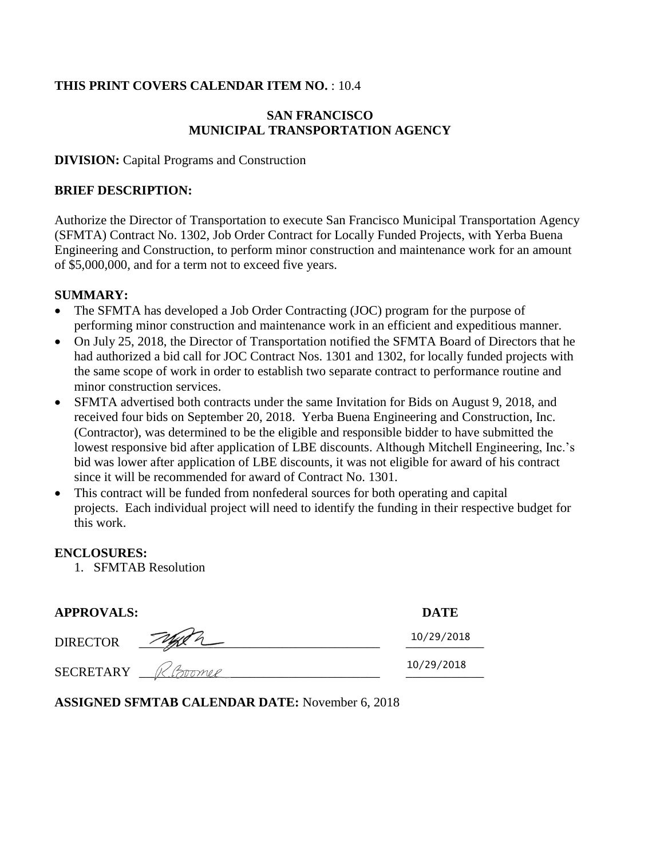# **THIS PRINT COVERS CALENDAR ITEM NO.** : 10.4

# **SAN FRANCISCO MUNICIPAL TRANSPORTATION AGENCY**

**DIVISION:** Capital Programs and Construction

## **BRIEF DESCRIPTION:**

Authorize the Director of Transportation to execute San Francisco Municipal Transportation Agency (SFMTA) Contract No. 1302, Job Order Contract for Locally Funded Projects, with Yerba Buena Engineering and Construction, to perform minor construction and maintenance work for an amount of \$5,000,000, and for a term not to exceed five years.

# **SUMMARY:**

- The SFMTA has developed a Job Order Contracting (JOC) program for the purpose of performing minor construction and maintenance work in an efficient and expeditious manner.
- On July 25, 2018, the Director of Transportation notified the SFMTA Board of Directors that he had authorized a bid call for JOC Contract Nos. 1301 and 1302, for locally funded projects with the same scope of work in order to establish two separate contract to performance routine and minor construction services.
- SFMTA advertised both contracts under the same Invitation for Bids on August 9, 2018, and received four bids on September 20, 2018. Yerba Buena Engineering and Construction, Inc. (Contractor), was determined to be the eligible and responsible bidder to have submitted the lowest responsive bid after application of LBE discounts. Although Mitchell Engineering, Inc.'s bid was lower after application of LBE discounts, it was not eligible for award of his contract since it will be recommended for award of Contract No. 1301.
- This contract will be funded from nonfederal sources for both operating and capital projects. Each individual project will need to identify the funding in their respective budget for this work.

## **ENCLOSURES:**

1. SFMTAB Resolution

| <b>APPROVALS:</b> |        | <b>DATE</b> |
|-------------------|--------|-------------|
| <b>DIRECTOR</b>   |        | 10/29/2018  |
| <b>SECRETARY</b>  | COMMON | 10/29/2018  |

**ASSIGNED SFMTAB CALENDAR DATE:** November 6, 2018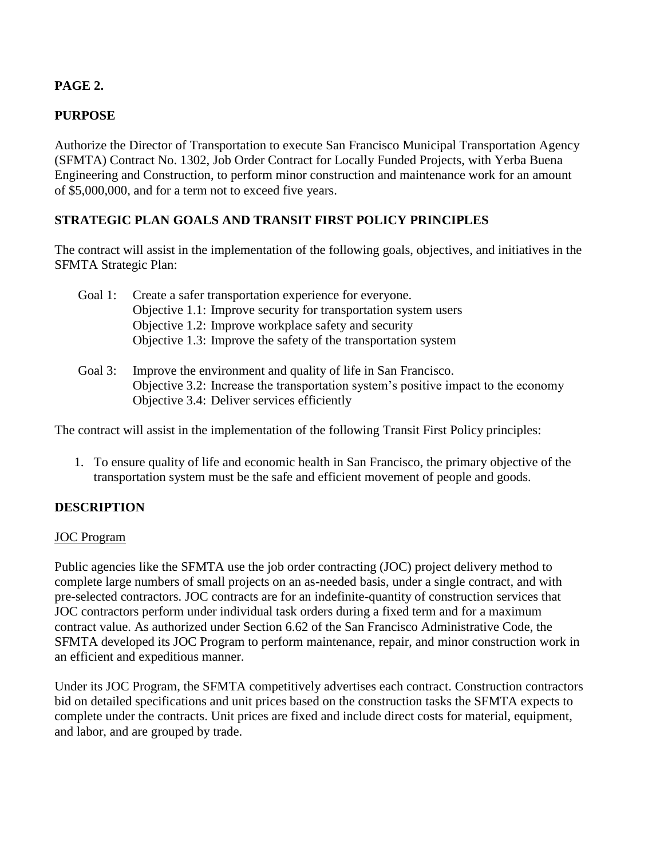# **PAGE 2.**

# **PURPOSE**

Authorize the Director of Transportation to execute San Francisco Municipal Transportation Agency (SFMTA) Contract No. 1302, Job Order Contract for Locally Funded Projects, with Yerba Buena Engineering and Construction, to perform minor construction and maintenance work for an amount of \$5,000,000, and for a term not to exceed five years.

## **STRATEGIC PLAN GOALS AND TRANSIT FIRST POLICY PRINCIPLES**

The contract will assist in the implementation of the following goals, objectives, and initiatives in the SFMTA Strategic Plan:

Goal 1: Create a safer transportation experience for everyone. Objective 1.1: Improve security for transportation system users Objective 1.2: Improve workplace safety and security Objective 1.3: Improve the safety of the transportation system

## Goal 3: Improve the environment and quality of life in San Francisco. Objective 3.2: Increase the transportation system's positive impact to the economy Objective 3.4: Deliver services efficiently

The contract will assist in the implementation of the following Transit First Policy principles:

1. To ensure quality of life and economic health in San Francisco, the primary objective of the transportation system must be the safe and efficient movement of people and goods.

## **DESCRIPTION**

### JOC Program

Public agencies like the SFMTA use the job order contracting (JOC) project delivery method to complete large numbers of small projects on an as-needed basis, under a single contract, and with pre-selected contractors. JOC contracts are for an indefinite-quantity of construction services that JOC contractors perform under individual task orders during a fixed term and for a maximum contract value. As authorized under Section 6.62 of the San Francisco Administrative Code, the SFMTA developed its JOC Program to perform maintenance, repair, and minor construction work in an efficient and expeditious manner.

Under its JOC Program, the SFMTA competitively advertises each contract. Construction contractors bid on detailed specifications and unit prices based on the construction tasks the SFMTA expects to complete under the contracts. Unit prices are fixed and include direct costs for material, equipment, and labor, and are grouped by trade.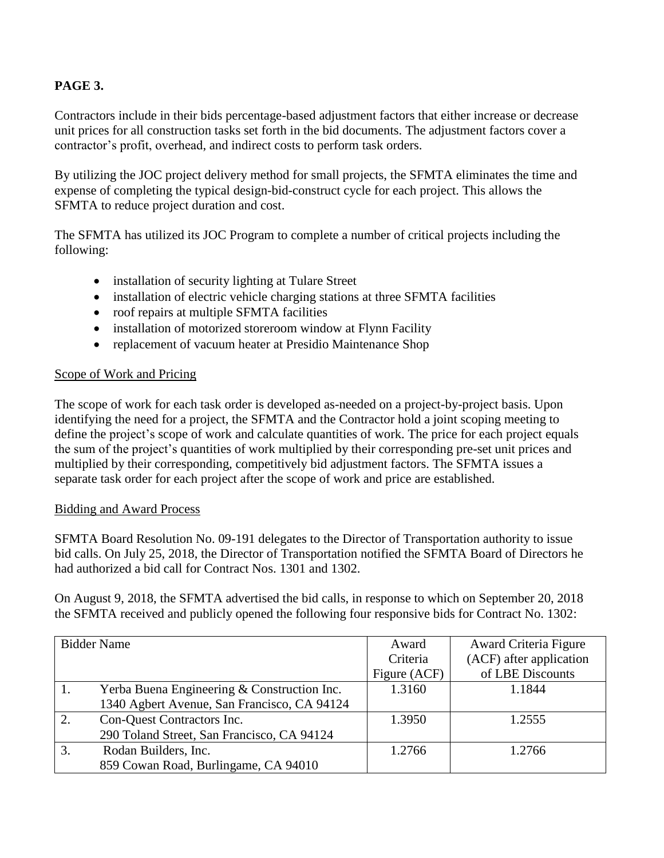# **PAGE 3.**

Contractors include in their bids percentage-based adjustment factors that either increase or decrease unit prices for all construction tasks set forth in the bid documents. The adjustment factors cover a contractor's profit, overhead, and indirect costs to perform task orders.

By utilizing the JOC project delivery method for small projects, the SFMTA eliminates the time and expense of completing the typical design-bid-construct cycle for each project. This allows the SFMTA to reduce project duration and cost.

The SFMTA has utilized its JOC Program to complete a number of critical projects including the following:

- installation of security lighting at Tulare Street
- installation of electric vehicle charging stations at three SFMTA facilities
- roof repairs at multiple SFMTA facilities
- installation of motorized storeroom window at Flynn Facility
- replacement of vacuum heater at Presidio Maintenance Shop

## Scope of Work and Pricing

The scope of work for each task order is developed as-needed on a project-by-project basis. Upon identifying the need for a project, the SFMTA and the Contractor hold a joint scoping meeting to define the project's scope of work and calculate quantities of work. The price for each project equals the sum of the project's quantities of work multiplied by their corresponding pre-set unit prices and multiplied by their corresponding, competitively bid adjustment factors. The SFMTA issues a separate task order for each project after the scope of work and price are established.

### Bidding and Award Process

SFMTA Board Resolution No. 09-191 delegates to the Director of Transportation authority to issue bid calls. On July 25, 2018, the Director of Transportation notified the SFMTA Board of Directors he had authorized a bid call for Contract Nos. 1301 and 1302.

On August 9, 2018, the SFMTA advertised the bid calls, in response to which on September 20, 2018 the SFMTA received and publicly opened the following four responsive bids for Contract No. 1302:

|    | <b>Bidder Name</b>                          | Award        | Award Criteria Figure   |
|----|---------------------------------------------|--------------|-------------------------|
|    |                                             | Criteria     | (ACF) after application |
|    |                                             | Figure (ACF) | of LBE Discounts        |
|    | Yerba Buena Engineering & Construction Inc. | 1.3160       | 1.1844                  |
|    | 1340 Agbert Avenue, San Francisco, CA 94124 |              |                         |
| 2. | Con-Quest Contractors Inc.                  | 1.3950       | 1.2555                  |
|    | 290 Toland Street, San Francisco, CA 94124  |              |                         |
| 3. | Rodan Builders, Inc.                        | 1.2766       | 1.2766                  |
|    | 859 Cowan Road, Burlingame, CA 94010        |              |                         |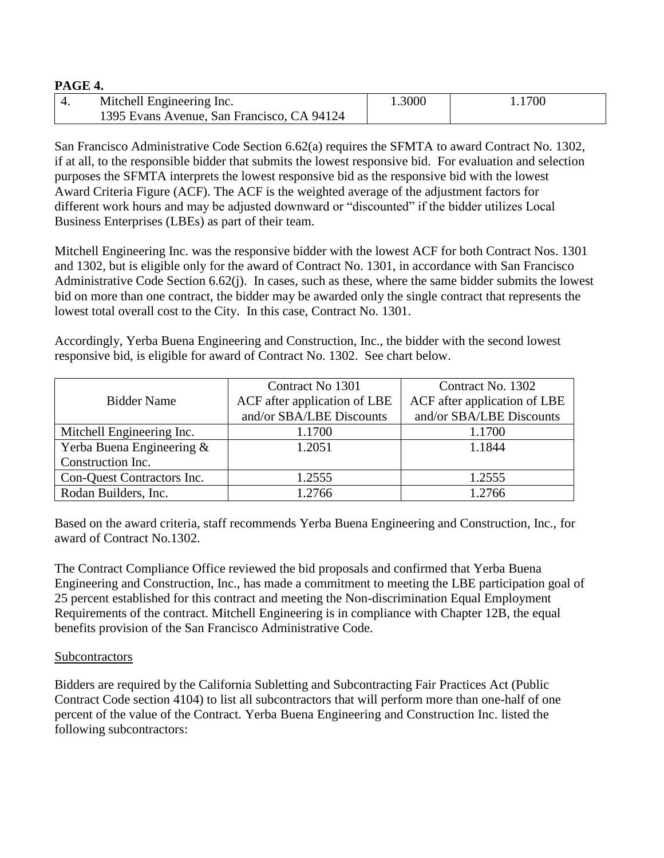#### **PAGE 4.**

| Mitchell Engineering Inc.                  | 1.3000 | 1.1700 |
|--------------------------------------------|--------|--------|
| 1395 Evans Avenue, San Francisco, CA 94124 |        |        |

San Francisco Administrative Code Section 6.62(a) requires the SFMTA to award Contract No. 1302, if at all, to the responsible bidder that submits the lowest responsive bid. For evaluation and selection purposes the SFMTA interprets the lowest responsive bid as the responsive bid with the lowest Award Criteria Figure (ACF). The ACF is the weighted average of the adjustment factors for different work hours and may be adjusted downward or "discounted" if the bidder utilizes Local Business Enterprises (LBEs) as part of their team.

Mitchell Engineering Inc. was the responsive bidder with the lowest ACF for both Contract Nos. 1301 and 1302, but is eligible only for the award of Contract No. 1301, in accordance with San Francisco Administrative Code Section 6.62(j). In cases, such as these, where the same bidder submits the lowest bid on more than one contract, the bidder may be awarded only the single contract that represents the lowest total overall cost to the City. In this case, Contract No. 1301.

Accordingly, Yerba Buena Engineering and Construction, Inc., the bidder with the second lowest responsive bid, is eligible for award of Contract No. 1302. See chart below.

|                            | Contract No 1301             | Contract No. 1302            |
|----------------------------|------------------------------|------------------------------|
| <b>Bidder Name</b>         | ACF after application of LBE | ACF after application of LBE |
|                            | and/or SBA/LBE Discounts     | and/or SBA/LBE Discounts     |
| Mitchell Engineering Inc.  | 1.1700                       | 1.1700                       |
| Yerba Buena Engineering &  | 1.2051                       | 1.1844                       |
| Construction Inc.          |                              |                              |
| Con-Quest Contractors Inc. | 1.2555                       | 1.2555                       |
| Rodan Builders, Inc.       | 1.2766                       | 1.2766                       |

Based on the award criteria, staff recommends Yerba Buena Engineering and Construction, Inc., for award of Contract No.1302.

The Contract Compliance Office reviewed the bid proposals and confirmed that Yerba Buena Engineering and Construction, Inc., has made a commitment to meeting the LBE participation goal of 25 percent established for this contract and meeting the Non-discrimination Equal Employment Requirements of the contract. Mitchell Engineering is in compliance with Chapter 12B, the equal benefits provision of the San Francisco Administrative Code.

### **Subcontractors**

Bidders are required by the California Subletting and Subcontracting Fair Practices Act (Public Contract Code section 4104) to list all subcontractors that will perform more than one-half of one percent of the value of the Contract. Yerba Buena Engineering and Construction Inc. listed the following subcontractors: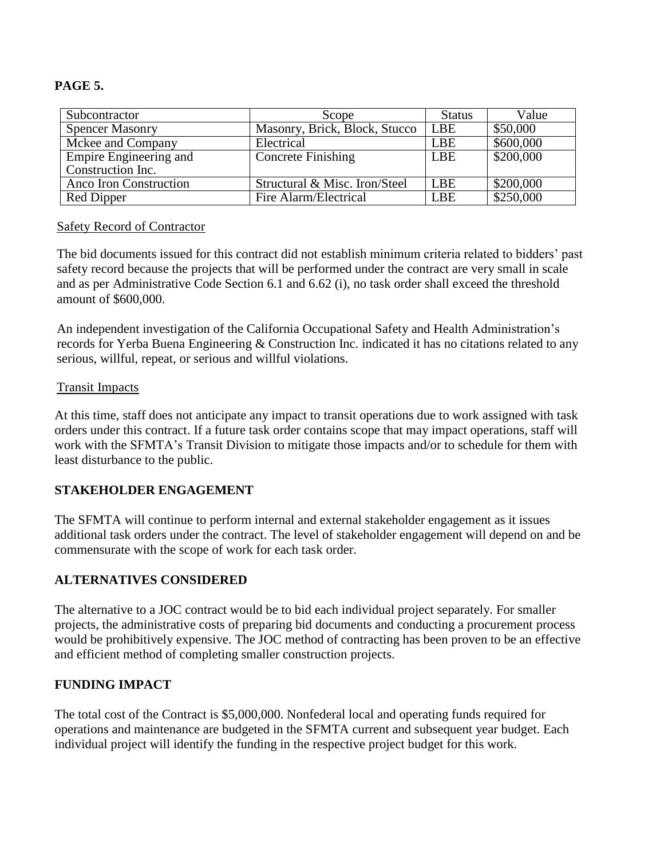## **PAGE 5.**

| Subcontractor          | Scope                         | <b>Status</b> | Value     |
|------------------------|-------------------------------|---------------|-----------|
| <b>Spencer Masonry</b> | Masonry, Brick, Block, Stucco | LBE           | \$50,000  |
| Mckee and Company      | Electrical                    | <b>LBE</b>    | \$600,000 |
| Empire Engineering and | <b>Concrete Finishing</b>     | <b>LBE</b>    | \$200,000 |
| Construction Inc.      |                               |               |           |
| Anco Iron Construction | Structural & Misc. Iron/Steel | LBE           | \$200,000 |
| Red Dipper             | Fire Alarm/Electrical         | <b>LBE</b>    | \$250,000 |

### Safety Record of Contractor

The bid documents issued for this contract did not establish minimum criteria related to bidders' past safety record because the projects that will be performed under the contract are very small in scale and as per Administrative Code Section 6.1 and 6.62 (i), no task order shall exceed the threshold amount of \$600,000.

An independent investigation of the California Occupational Safety and Health Administration's records for Yerba Buena Engineering & Construction Inc. indicated it has no citations related to any serious, willful, repeat, or serious and willful violations.

### Transit Impacts

At this time, staff does not anticipate any impact to transit operations due to work assigned with task orders under this contract. If a future task order contains scope that may impact operations, staff will work with the SFMTA's Transit Division to mitigate those impacts and/or to schedule for them with least disturbance to the public.

### **STAKEHOLDER ENGAGEMENT**

The SFMTA will continue to perform internal and external stakeholder engagement as it issues additional task orders under the contract. The level of stakeholder engagement will depend on and be commensurate with the scope of work for each task order.

### **ALTERNATIVES CONSIDERED**

The alternative to a JOC contract would be to bid each individual project separately. For smaller projects, the administrative costs of preparing bid documents and conducting a procurement process would be prohibitively expensive. The JOC method of contracting has been proven to be an effective and efficient method of completing smaller construction projects.

### **FUNDING IMPACT**

The total cost of the Contract is \$5,000,000. Nonfederal local and operating funds required for operations and maintenance are budgeted in the SFMTA current and subsequent year budget. Each individual project will identify the funding in the respective project budget for this work.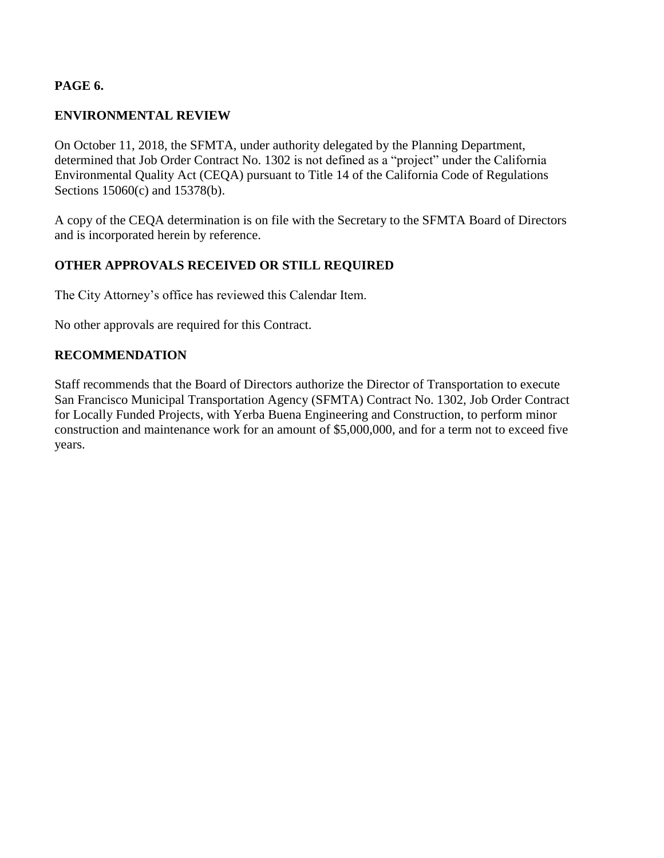## **PAGE 6.**

## **ENVIRONMENTAL REVIEW**

On October 11, 2018, the SFMTA, under authority delegated by the Planning Department, determined that Job Order Contract No. 1302 is not defined as a "project" under the California Environmental Quality Act (CEQA) pursuant to Title 14 of the California Code of Regulations Sections 15060(c) and 15378(b).

A copy of the CEQA determination is on file with the Secretary to the SFMTA Board of Directors and is incorporated herein by reference.

## **OTHER APPROVALS RECEIVED OR STILL REQUIRED**

The City Attorney's office has reviewed this Calendar Item.

No other approvals are required for this Contract.

### **RECOMMENDATION**

Staff recommends that the Board of Directors authorize the Director of Transportation to execute San Francisco Municipal Transportation Agency (SFMTA) Contract No. 1302, Job Order Contract for Locally Funded Projects, with Yerba Buena Engineering and Construction, to perform minor construction and maintenance work for an amount of \$5,000,000, and for a term not to exceed five years.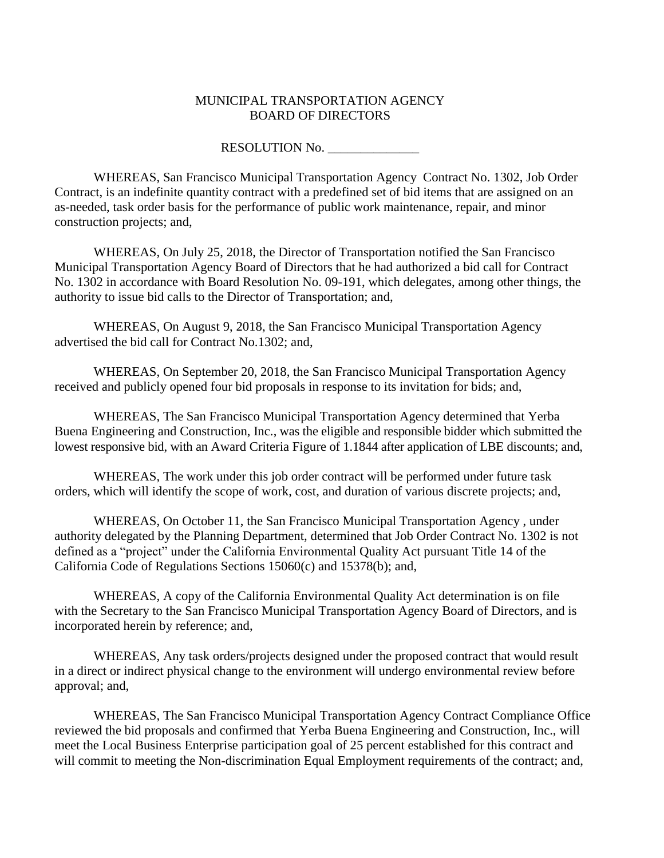#### MUNICIPAL TRANSPORTATION AGENCY BOARD OF DIRECTORS

RESOLUTION No.

WHEREAS, San Francisco Municipal Transportation Agency Contract No. 1302, Job Order Contract, is an indefinite quantity contract with a predefined set of bid items that are assigned on an as-needed, task order basis for the performance of public work maintenance, repair, and minor construction projects; and,

WHEREAS, On July 25, 2018, the Director of Transportation notified the San Francisco Municipal Transportation Agency Board of Directors that he had authorized a bid call for Contract No. 1302 in accordance with Board Resolution No. 09-191, which delegates, among other things, the authority to issue bid calls to the Director of Transportation; and,

WHEREAS, On August 9, 2018, the San Francisco Municipal Transportation Agency advertised the bid call for Contract No.1302; and,

WHEREAS, On September 20, 2018, the San Francisco Municipal Transportation Agency received and publicly opened four bid proposals in response to its invitation for bids; and,

WHEREAS, The San Francisco Municipal Transportation Agency determined that Yerba Buena Engineering and Construction, Inc., was the eligible and responsible bidder which submitted the lowest responsive bid, with an Award Criteria Figure of 1.1844 after application of LBE discounts; and,

WHEREAS, The work under this job order contract will be performed under future task orders, which will identify the scope of work, cost, and duration of various discrete projects; and,

WHEREAS, On October 11, the San Francisco Municipal Transportation Agency , under authority delegated by the Planning Department, determined that Job Order Contract No. 1302 is not defined as a "project" under the California Environmental Quality Act pursuant Title 14 of the California Code of Regulations Sections 15060(c) and 15378(b); and,

WHEREAS, A copy of the California Environmental Quality Act determination is on file with the Secretary to the San Francisco Municipal Transportation Agency Board of Directors, and is incorporated herein by reference; and,

WHEREAS, Any task orders/projects designed under the proposed contract that would result in a direct or indirect physical change to the environment will undergo environmental review before approval; and,

WHEREAS, The San Francisco Municipal Transportation Agency Contract Compliance Office reviewed the bid proposals and confirmed that Yerba Buena Engineering and Construction, Inc., will meet the Local Business Enterprise participation goal of 25 percent established for this contract and will commit to meeting the Non-discrimination Equal Employment requirements of the contract; and,